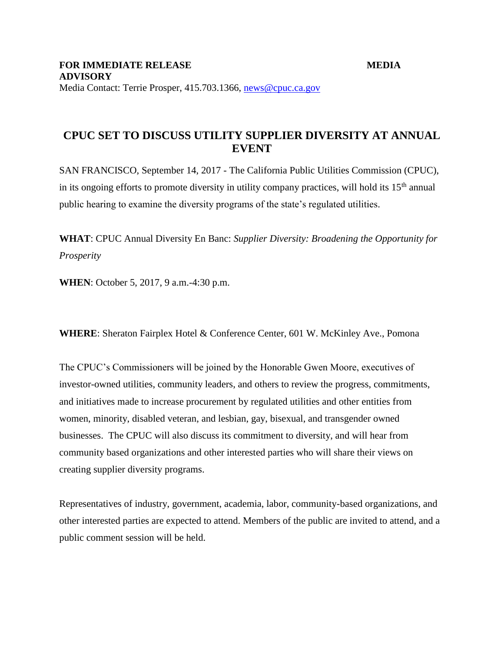## **CPUC SET TO DISCUSS UTILITY SUPPLIER DIVERSITY AT ANNUAL EVENT**

SAN FRANCISCO, September 14, 2017 - The California Public Utilities Commission (CPUC), in its ongoing efforts to promote diversity in utility company practices, will hold its  $15<sup>th</sup>$  annual public hearing to examine the diversity programs of the state's regulated utilities.

**WHAT**: CPUC Annual Diversity En Banc: *Supplier Diversity: Broadening the Opportunity for Prosperity*

**WHEN**: October 5, 2017, 9 a.m.-4:30 p.m.

**WHERE**: Sheraton Fairplex Hotel & Conference Center, 601 W. McKinley Ave., Pomona

The CPUC's Commissioners will be joined by the Honorable Gwen Moore, executives of investor-owned utilities, community leaders, and others to review the progress, commitments, and initiatives made to increase procurement by regulated utilities and other entities from women, minority, disabled veteran, and lesbian, gay, bisexual, and transgender owned businesses. The CPUC will also discuss its commitment to diversity, and will hear from community based organizations and other interested parties who will share their views on creating supplier diversity programs.

Representatives of industry, government, academia, labor, community-based organizations, and other interested parties are expected to attend. Members of the public are invited to attend, and a public comment session will be held.